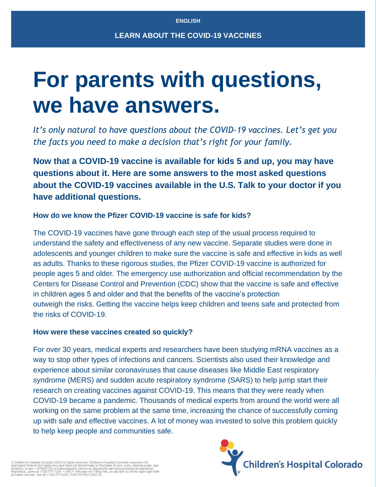# **For parents with questions, we have answers.**

*It's only natural to have questions about the COVID-19 vaccines. Let's get you the facts you need to make a decision that's right for your family.*

**Now that a COVID-19 vaccine is available for kids 5 and up, you may have questions about it. Here are some answers to the most asked questions about the COVID-19 vaccines available in the U.S. Talk to your doctor if you have additional questions.**

## **How do we know the Pfizer COVID-19 vaccine is safe for kids?**

The COVID-19 vaccines have gone through each step of the usual process required to understand the safety and effectiveness of any new vaccine. Separate studies were done in adolescents and younger children to make sure the vaccine is safe and effective in kids as well as adults. Thanks to these rigorous studies, the Pfizer COVID-19 vaccine is authorized for people ages 5 and older. The emergency use authorization and official recommendation by the Centers for Disease Control and Prevention (CDC) show that the vaccine is safe and effective in children ages 5 and older and that the benefits of the vaccine's protection outweigh the risks. Getting the vaccine helps keep children and teens safe and protected from the risks of COVID-19.

## **How were these vaccines created so quickly?**

For over 30 years, medical experts and researchers have been studying mRNA vaccines as a way to stop other types of infections and cancers. Scientists also used their knowledge and experience about similar coronaviruses that cause diseases like Middle East respiratory syndrome (MERS) and sudden acute respiratory syndrome (SARS) to help jump start their research on creating vaccines against COVID-19. This means that they were ready when COVID-19 became a pandemic. Thousands of medical experts from around the world were all working on the same problem at the same time, increasing the chance of successfully coming up with safe and effective vaccines. A lot of money was invested to solve this problem quickly to help keep people and communities safe.

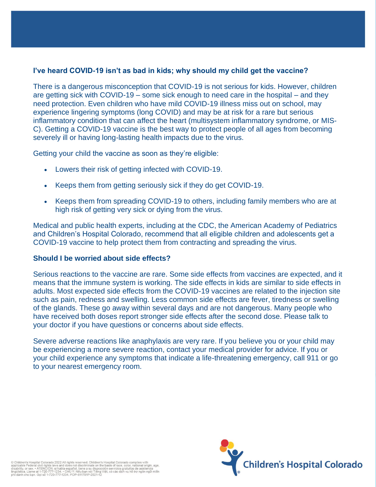## **I've heard COVID-19 isn't as bad in kids; why should my child get the vaccine?**

There is a dangerous misconception that COVID-19 is not serious for kids. However, children are getting sick with COVID-19 – some sick enough to need care in the hospital – and they need protection. Even children who have mild COVID-19 illness miss out on school, may experience lingering symptoms (long COVID) and may be at risk for a rare but serious inflammatory condition that can affect the heart (multisystem inflammatory syndrome, or MIS-C). Getting a COVID-19 vaccine is the best way to protect people of all ages from becoming severely ill or having long-lasting health impacts due to the virus.

Getting your child the vaccine as soon as they're eligible:

- Lowers their risk of getting infected with COVID-19.
- Keeps them from getting seriously sick if they do get COVID-19.
- Keeps them from spreading COVID-19 to others, including family members who are at high risk of getting very sick or dying from the virus.

Medical and public health experts, including at the CDC, the American Academy of Pediatrics and Children's Hospital Colorado, recommend that all eligible children and adolescents get a COVID-19 vaccine to help protect them from contracting and spreading the virus.

## **Should I be worried about side effects?**

Serious reactions to the vaccine are rare. Some side effects from vaccines are expected, and it means that the immune system is working. The side effects in kids are similar to side effects in adults. Most expected side effects from the COVID-19 vaccines are related to the injection site such as pain, redness and swelling. Less common side effects are fever, tiredness or swelling of the glands. These go away within several days and are not dangerous. Many people who have received both doses report stronger side effects after the second dose. Please talk to your doctor if you have questions or concerns about side effects.

Severe adverse reactions like anaphylaxis are very rare. If you believe you or your child may be experiencing a more severe reaction, contact your medical provider for advice. If you or your child experience any symptoms that indicate a life-threatening emergency, call 911 or go to your nearest emergency room.

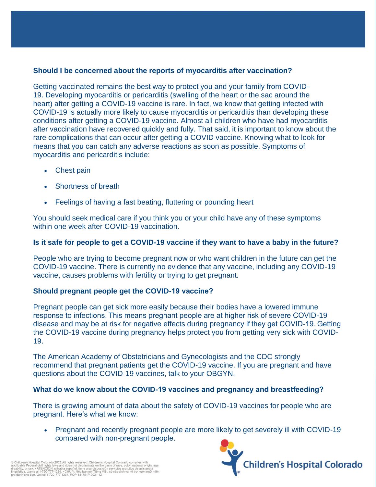## **Should I be concerned about the reports of myocarditis after vaccination?**

Getting vaccinated remains the best way to protect you and your family from COVID-19. Developing myocarditis or pericarditis (swelling of the heart or the sac around the heart) after getting a COVID-19 vaccine is rare. In fact, we know that getting infected with COVID-19 is actually more likely to cause myocarditis or pericarditis than developing these conditions after getting a COVID-19 vaccine. Almost all children who have had myocarditis after vaccination have recovered quickly and fully. That said, it is important to know about the rare complications that can occur after getting a COVID vaccine. Knowing what to look for means that you can catch any adverse reactions as soon as possible. Symptoms of myocarditis and pericarditis include:

- Chest pain
- Shortness of breath
- Feelings of having a fast beating, fluttering or pounding heart

You should seek medical care if you think you or your child have any of these symptoms within one week after COVID-19 vaccination.

# **Is it safe for people to get a COVID-19 vaccine if they want to have a baby in the future?**

People who are trying to become pregnant now or who want children in the future can get the COVID-19 vaccine. There is currently no evidence that any vaccine, including any COVID-19 vaccine, causes problems with fertility or trying to get pregnant.

# **Should pregnant people get the COVID-19 vaccine?**

Pregnant people can get sick more easily because their bodies have a lowered immune response to infections. This means pregnant people are at higher risk of severe COVID-19 disease and may be at risk for negative effects during pregnancy if they get COVID-19. Getting the COVID-19 vaccine during pregnancy helps protect you from getting very sick with COVID-19.

The American Academy of Obstetricians and Gynecologists and the CDC strongly recommend that pregnant patients get the COVID-19 vaccine. If you are pregnant and have questions about the COVID-19 vaccines, talk to your OBGYN.

# **What do we know about the COVID-19 vaccines and pregnancy and breastfeeding?**

There is growing amount of data about the safety of COVID-19 vaccines for people who are pregnant. Here's what we know: 

• Pregnant and recently pregnant people are more likely to get severely ill with COVID-19 compared with non-pregnant people.   



© Children's Hospital Colorado 2022 All rights reserved. Children's Hospital Colorado complies with<br>applicable Federal civil rights laws and does not discriminate on the basis of race, color, national origin, age,<br>disabili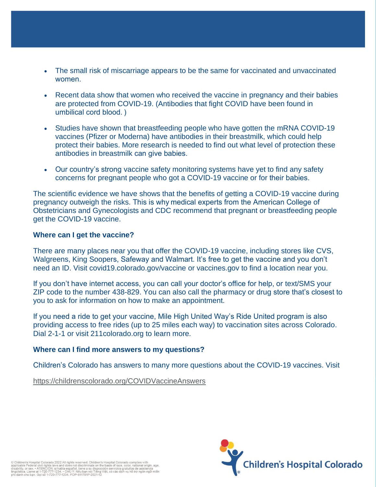- The small risk of miscarriage appears to be the same for vaccinated and unvaccinated women.
- Recent data show that women who received the vaccine in pregnancy and their babies are protected from COVID-19. (Antibodies that fight COVID have been found in umbilical cord blood. )
- Studies have shown that breastfeeding people who have gotten the mRNA COVID-19 vaccines (Pfizer or Moderna) have antibodies in their breastmilk, which could help protect their babies. More research is needed to find out what level of protection these antibodies in breastmilk can give babies.
- Our country's strong vaccine safety monitoring systems have yet to find any safety concerns for pregnant people who got a COVID-19 vaccine or for their babies.

The scientific evidence we have shows that the benefits of getting a COVID-19 vaccine during pregnancy outweigh the risks. This is why medical experts from the American College of Obstetricians and Gynecologists and CDC recommend that pregnant or breastfeeding people get the COVID-19 vaccine.

#### **Where can I get the vaccine?**

There are many places near you that offer the COVID-19 vaccine, including stores like CVS, Walgreens, King Soopers, Safeway and Walmart. It's free to get the vaccine and you don't need an ID. Visit covid19.colorado.gov/vaccine or vaccines.gov to find a location near you.

If you don't have internet access, you can call your doctor's office for help, or text/SMS your ZIP code to the number 438-829. You can also call the pharmacy or drug store that's closest to you to ask for information on how to make an appointment.

If you need a ride to get your vaccine, Mile High United Way's Ride United program is also providing access to free rides (up to 25 miles each way) to vaccination sites across Colorado. Dial 2-1-1 or visit 211colorado.org to learn more.

#### **Where can I find more answers to my questions?**

Children's Colorado has answers to many more questions about the COVID-19 vaccines. Visit

<https://childrenscolorado.org/COVIDVaccineAnswers>